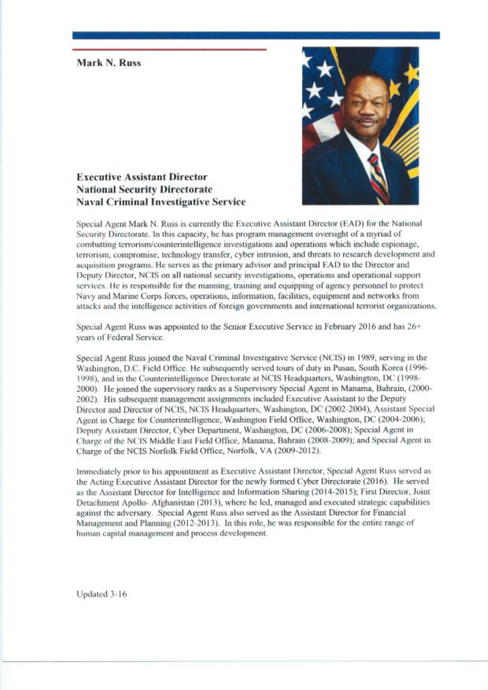## Mark N. Russ



## **Executive Assistant Director National Security Directorate Naval Criminal Investigative Service**

Special Agent Mark N. Russ is currently the Executive Assistant Director (EAD) for the National Security Directorate. In this capacity, he has program management oversight of a myriad of combatting terrorism/counterintelligence investigations and operations which include espionage, terrorism, compromise, technology transfer, cyber intrusion, and threats to research development and acquisition programs. He serves as the primary advisor and principal EAD to the Director and Deputy Director, NCIS on all national security investigations, operations and operational support services. He is responsible for the manning, training and equipping of agency personnel to protect Navy and Marine Corps forces, operations, information, facilities, equipment and networks from attacks and the intelligence activities of foreign governments and international terrorist organizations.

Special Agent Russ was appointed to the Senior Executive Service in February 2016 and has 26+ vears of Federal Service.

Special Agent Russ joined the Naval Criminal Investigative Service (NCIS) in 1989, serving in the Washington, D.C. Field Office. He subsequently served tours of duty in Pusan, South Korea (1996-1998), and in the Counterintelligence Directorate at NCIS Headquarters, Washington, DC (1998-2000). He joined the supervisory ranks as a Supervisory Special Agent in Manama, Bahrain, (2000-2002). His subsequent management assignments included Executive Assistant to the Deputy Director and Director of NCIS, NCIS Headquarters, Washington, DC (2002-2004), Assistant Special Agent in Charge for Counterintelligence, Washington Field Office, Washington, DC (2004-2006); Deputy Assistant Director, Cyber Department, Washington, DC (2006-2008); Special Agent in Charge of the NCIS Middle East Field Office, Manama, Bahrain (2008-2009); and Special Agent in Charge of the NCIS Norfolk Field Office, Norfolk, VA (2009-2012).

Immediately prior to his appointment as Executive Assistant Director, Special Agent Russ served as the Acting Executive Assistant Director for the newly formed Cyber Directorate (2016). He served as the Assistant Director for Intelligence and Information Sharing (2014-2015); First Director, Joint Detachment Apollo-Afghanistan (2013), where he led, managed and executed strategic capabilities against the adversary. Special Agent Russ also served as the Assistant Director for Financial Management and Planning (2012-2013). In this role, he was responsible for the entire range of human capital management and process development.

Updated 3-16